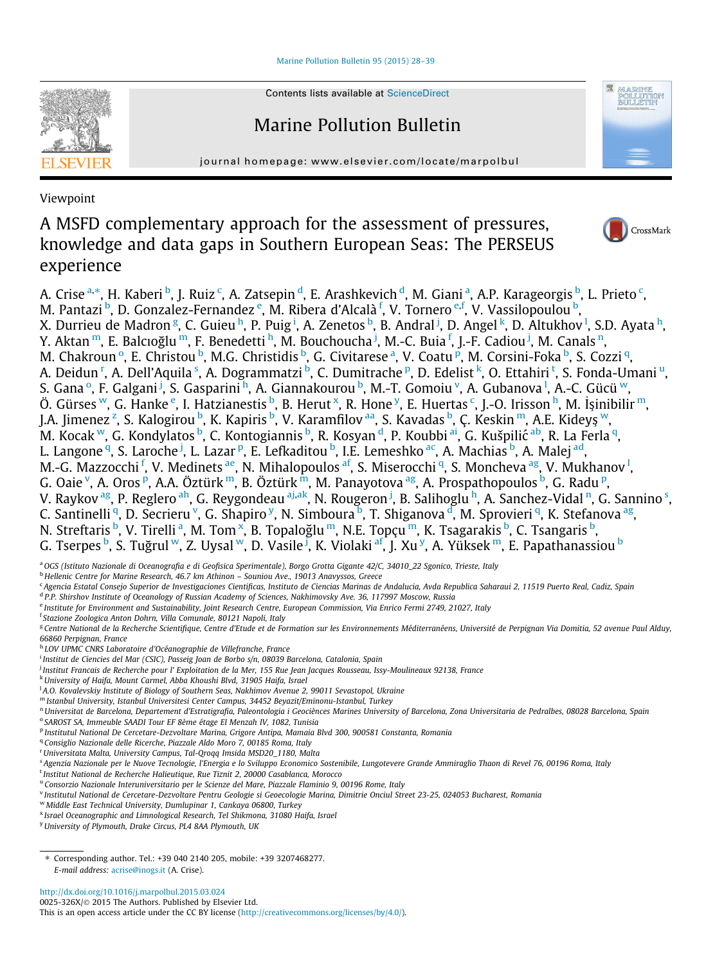[Marine Pollution Bulletin 95 \(2015\) 28–39](http://dx.doi.org/10.1016/j.marpolbul.2015.03.024)



Contents lists available at [ScienceDirect](http://www.sciencedirect.com/science/journal/0025326X)

Marine Pollution Bulletin

journal homepage: [www.elsevier.com/locate/marpolbul](http://www.elsevier.com/locate/marpolbul)

Viewpoint

# A MSFD complementary approach for the assessment of pressures, knowledge and data gaps in Southern European Seas: The PERSEUS experience



MARINE POLLUTIC<br>BULLETIR

A. Crise ª,\*, H. Kaberi ʰ, J. Ruiz ʿ, A. Zatsepin <sup>d</sup>, E. Arashkevich <sup>d</sup>, M. Giani ª, A.P. Karageorgis ʰ, L. Prieto ʿ, M. Pantazi <sup>b</sup>, D. Gonzalez-Fernandez <sup>e</sup>, M. Ribera d'Alcalà <sup>f</sup>, V. Tornero <sup>e,f</sup>, V. Vassilopoulou <sup>b</sup>, X. Durrieu de Madron <sup>g</sup>, C. Guieu <sup>h</sup>, P. Puig <sup>i</sup>, A. Zenetos <sup>b</sup>, B. Andral <sup>j</sup>, D. Angel <sup>k</sup>, D. Altukhov <sup>l</sup>, S.D. Ayata <sup>h</sup>, Y. Aktan <sup>m</sup>, E. Balcıoğlu <sup>m</sup>, F. Benedetti <sup>h</sup>, M. Bouchoucha <sup>j</sup>, M.-C. Buia <sup>f</sup>, J.-F. Cadiou <sup>j</sup>, M. Canals <sup>n</sup>, M. Chakroun  $^{\rm o}$ , E. Christou  $^{\rm b}$ , M.G. Christidis  $^{\rm b}$ , G. Civitarese  $^{\rm a}$ , V. Coatu  $^{\rm p}$ , M. Corsini-Foka  $^{\rm b}$ , S. Cozzi  $^{\rm q}$ , A. Deidun <sup>r</sup>, A. Dell'Aquila <sup>s</sup>, A. Dogrammatzi <sup>b</sup>, C. Dumitrache <sup>p</sup>, D. Edelist <sup>k</sup>, O. Ettahiri <sup>t</sup>, S. Fonda-Umani <sup>u</sup>, S. Gana  $^{\rm o}$ , F. Galgani <sup>j</sup>, S. Gasparini <sup>h</sup>, A. Giannakourou <sup>b</sup>, M.-T. Gomoiu <sup>v</sup>, A. Gubanova <sup>l</sup>, A.-C. Gücü <sup>w</sup>, Ö. Gürses <sup>w</sup>, G. Hanke <sup>e</sup>, I. Hatzianestis <sup>b</sup>, B. Herut <sup>x</sup>, R. Hone <sup>y</sup>, E. Huertas <sup>c</sup>, J.-O. Irisson h, M. İşinibilir <sup>m</sup>, J.A. Jimene[z](#page-1-0) <sup>z</sup>, S. Kalogirou <sup>b</sup>, K. Kapiris <sup>b</sup>, V. Karamfilov <sup>aa</sup>, S. Kavadas <sup>b</sup>, Ç. Keskin <sup>m</sup>, A.E. Kideyş <sup>w</sup>, M. Kocak <sup>w</sup>, G. Kondylatos <sup>b</sup>, C. Kontogiannis <sup>b</sup>, R. Kosyan <sup>d</sup>, P. Koubbi <sup>ai</sup>, G. Kušpilić <sup>[ab](#page-1-0)</sup>, R. La Ferla <sup>q</sup>, L. Langone <sup>q</sup>, S. Laroche <sup>j</sup>, L. Lazar <sup>p</sup>, E. Lefkaditou <sup>b</sup>, I.E. Lemeshko <sup>[ac](#page-1-0)</sup>, A. Machias <sup>b</sup>, A. Malej <sup>ad</sup>, M.-G. Mazzocchi <sup>f</sup>, V. Medinets <sup>[ae](#page-1-0)</sup>, N. Mihalopoulos <sup>[af](#page-1-0)</sup>, S. Miserocchi <sup>q</sup>, S. Moncheva <sup>[ag](#page-1-0)</sup>, V. Mukhanov <sup>l</sup>, G. Oaie <sup>v</sup>, A. Oros <sup>p</sup>, A.A. Öztürk <sup>m</sup>, B. Öztürk <sup>m</sup>, M. Panayotova <sup>[ag](#page-1-0)</sup>, A. Prospathopoulos <sup>b</sup>, G. Radu <sup>p</sup>, V. Raykov <sup>[ag](#page-1-0)</sup>, P. Reglero <sup>ah</sup>, G. Reygondeau <sup>aj,ak</sup>, N. Rougeron <sup>j</sup>, B. Salihoglu <sup>h</sup>, A. Sanchez-Vidal <sup>n</sup>, G. Sannino <sup>s</sup>, C. Santinelli <sup>q</sup>, D. Secrieru <sup>v</sup>, G. Shapiro <sup>y</sup>, N. Simboura <sup>b</sup>, T. Shiganova <sup>d</sup>, M. Sprovieri <sup>q</sup>, K. Stefanova <sup>[ag](#page-1-0)</sup>, N. Streftaris <sup>b</sup>, V. Tirelli <sup>a</sup>, M. Tom <sup>x</sup>, B. Topaloğlu <sup>m</sup>, N.E. Topçu <sup>m</sup>, K. Tsagarakis <sup>b</sup>, C. Tsangaris <sup>b</sup>, G. Tserpes <sup>b</sup>, S. Tuğrul <sup>w</sup>, Z. Uysal <sup>w</sup>, D. Vasile <sup>j</sup>, K. Violaki <sup>af</sup>, J. Xu <sup>y</sup>, A. Yüksek <sup>m</sup>, E. Papathanassiou <sup>b</sup>

<sup>a</sup> OGS (Istituto Nazionale di Oceanografia e di Geofisica Sperimentale), Borgo Grotta Gigante 42/C, 34010\_22 Sgonico, Trieste, Italy

<sup>b</sup> Hellenic Centre for Marine Research, 46.7 km Athinon – Souniou Ave., 19013 Anavyssos, Greece

<sup>c</sup> Agencia Estatal Consejo Superior de Investigaciones Científicas, Instituto de Ciencias Marinas de Andalucia, Avda Republica Saharaui 2, 11519 Puerto Real, Cadiz, Spain

<sup>d</sup> P.P. Shirshov Institute of Oceanology of Russian Academy of Sciences, Nakhimovsky Ave. 36, 117997 Moscow, Russia

e Institute for Environment and Sustainability, Joint Research Centre, European Commission, Via Enrico Fermi 2749, 21027, Italy

<sup>f</sup> Stazione Zoologica Anton Dohrn, Villa Comunale, 80121 Napoli, Italy

<sup>g</sup> Centre National de la Recherche Scientifique, Centre d'Etude et de Formation sur les Environnements Méditerranéens, Université de Perpignan Via Domitia, 52 avenue Paul Alduy, 66860 Perpignan, France

<sup>h</sup> LOV UPMC CNRS Laboratoire d'Océanographie de Villefranche, France

<sup>i</sup> Institut de Ciencies del Mar (CSIC), Passeig Joan de Borbo s/n, 08039 Barcelona, Catalonia, Spain

<sup>j</sup> Institut Francais de Recherche pour l' Exploitation de la Mer, 155 Rue Jean Jacques Rousseau, Issy-Moulineaux 92138, France

<sup>k</sup>University of Haifa, Mount Carmel, Abba Khoushi Blvd, 31905 Haifa, Israel

<sup>1</sup> A.O. Kovalevskiy Institute of Biology of Southern Seas, Nakhimov Avenue 2, 99011 Sevastopol, Ukraine

<sup>m</sup> Istanbul University, Istanbul Universitesi Center Campus, 34452 Beyazit/Eminonu-Istanbul, Turkey

n Universitat de Barcelona, Departement d'Estratigrafia, Paleontologia i Geociènces Marines University of Barcelona, Zona Universitaria de Pedralbes, 08028 Barcelona, Spain <sup>o</sup> SAROST SA, Immeuble SAADI Tour EF 8ème étage El Menzah IV, 1082, Tunisia

<sup>p</sup> Institutul National De Cercetare-Dezvoltare Marina, Grigore Antipa, Mamaia Blvd 300, 900581 Constanta, Romania

<sup>q</sup> Consiglio Nazionale delle Ricerche, Piazzale Aldo Moro 7, 00185 Roma, Italy

<sup>r</sup> Universitata Malta, University Campus, Tal-Qroqq Imsida MSD20\_1180, Malta

<sup>s</sup> Agenzia Nazionale per le Nuove Tecnologie, l'Energia e lo Sviluppo Economico Sostenibile, Lungotevere Grande Ammiraglio Thaon di Revel 76, 00196 Roma, Italy

<sup>t</sup> Institut National de Recherche Halieutique, Rue Tiznit 2, 20000 Casablanca, Morocco

<sup>u</sup> Consorzio Nazionale Interuniversitario per le Scienze del Mare, Piazzale Flaminio 9, 00196 Rome, Italy

<sup>v</sup> Institutul National de Cercetare-Dezvoltare Pentru Geologie si Geoecologie Marina, Dimitrie Onciul Street 23-25, 024053 Bucharest, Romania

<sup>w</sup> Middle East Technical University, Dumlupinar 1, Cankaya 06800, Turkey

<sup>x</sup> Israel Oceanographic and Limnological Research, Tel Shikmona, 31080 Haifa, Israel

<sup>y</sup>University of Plymouth, Drake Circus, PL4 8AA Plymouth, UK

<http://dx.doi.org/10.1016/j.marpolbul.2015.03.024>

0025-326X/© 2015 The Authors. Published by Elsevier Ltd.

This is an open access article under the CC BY license [\(http://creativecommons.org/licenses/by/4.0/](http://creativecommons.org/licenses/by/4.0/)).

<sup>⇑</sup> Corresponding author. Tel.: +39 040 2140 205, mobile: +39 3207468277. E-mail address: [acrise@inogs.it](mailto:acrise@inogs.it) (A. Crise).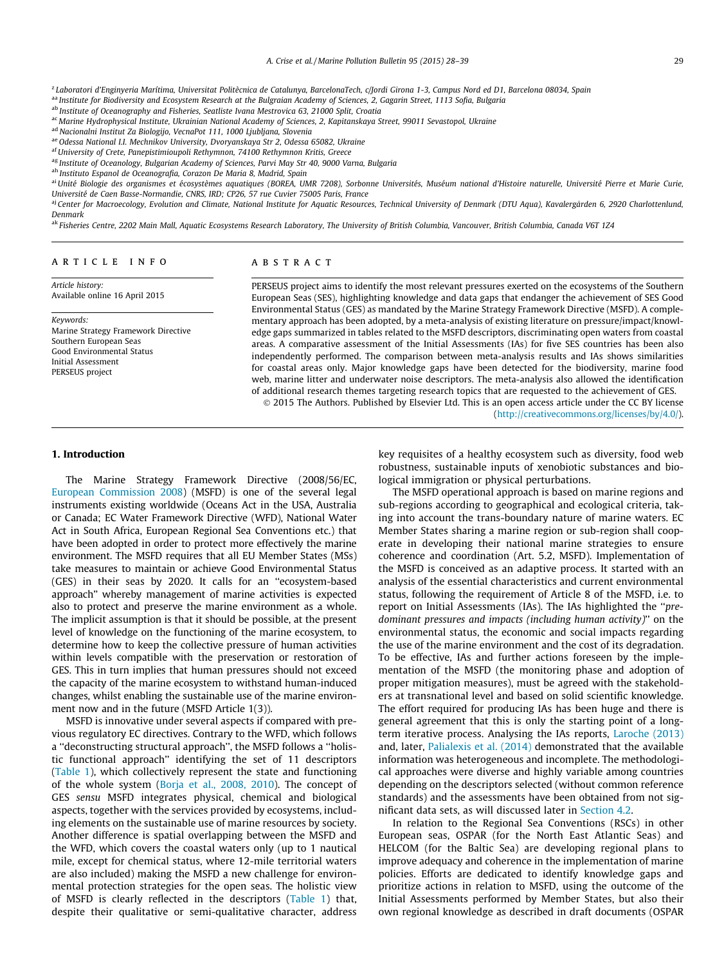<span id="page-1-0"></span><sup>z</sup> Laboratori d'Enginyeria Marítima, Universitat Politècnica de Catalunya, BarcelonaTech, c/Jordi Girona 1-3, Campus Nord ed D1, Barcelona 08034, Spain

aa Institute for Biodiversity and Ecosystem Research at the Bulgraian Academy of Sciences, 2, Gagarin Street, 1113 Sofia, Bulgaria

ac Marine Hydrophysical Institute, Ukrainian National Academy of Sciences, 2, Kapitanskaya Street, 99011 Sevastopol, Ukraine

ad Nacionalni Institut Za Biologijo, VecnaPot 111, 1000 Ljubljana, Slovenia

ae Odessa National I.I. Mechnikov University, Dvoryanskaya Str 2, Odessa 65082, Ukraine

af University of Crete, Panepistimioupoli Rethymnon, 74100 Rethymnon Kritis, Greece ag Institute of Oceanology, Bulgarian Academy of Sciences, Parvi May Str 40, 9000 Varna, Bulgaria

ah Instituto Espanol de Oceanografia, Corazon De Maria 8, Madrid, Spain

ai Unité Biologie des organismes et écosystèmes aquatiques (BOREA, UMR 7208), Sorbonne Universités, Muséum national d'Histoire naturelle, Université Pierre et Marie Curie, Université de Caen Basse-Normandie, CNRS, IRD; CP26, 57 rue Cuvier 75005 Paris, France

aj Center for Macroecology, Evolution and Climate, National Institute for Aquatic Resources, Technical University of Denmark (DTU Aqua), Kavalergården 6, 2920 Charlottenlund, Denmark

<sup>ak</sup> Fisheries Centre, 2202 Main Mall, Aquatic Ecosystems Research Laboratory, The University of British Columbia, Vancouver, British Columbia, Canada V6T 124

#### article info

Article history: Available online 16 April 2015

Keywords: Marine Strategy Framework Directive Southern European Seas Good Environmental Status Initial Assessment PERSEUS project

#### abstract

PERSEUS project aims to identify the most relevant pressures exerted on the ecosystems of the Southern European Seas (SES), highlighting knowledge and data gaps that endanger the achievement of SES Good Environmental Status (GES) as mandated by the Marine Strategy Framework Directive (MSFD). A complementary approach has been adopted, by a meta-analysis of existing literature on pressure/impact/knowledge gaps summarized in tables related to the MSFD descriptors, discriminating open waters from coastal areas. A comparative assessment of the Initial Assessments (IAs) for five SES countries has been also independently performed. The comparison between meta-analysis results and IAs shows similarities for coastal areas only. Major knowledge gaps have been detected for the biodiversity, marine food web, marine litter and underwater noise descriptors. The meta-analysis also allowed the identification of additional research themes targeting research topics that are requested to the achievement of GES. © 2015 The Authors. Published by Elsevier Ltd. This is an open access article under the CC BY license

[\(http://creativecommons.org/licenses/by/4.0/](http://creativecommons.org/licenses/by/4.0/)).

## 1. Introduction

The Marine Strategy Framework Directive (2008/56/EC, [European Commission 2008\)](#page-11-0) (MSFD) is one of the several legal instruments existing worldwide (Oceans Act in the USA, Australia or Canada; EC Water Framework Directive (WFD), National Water Act in South Africa, European Regional Sea Conventions etc.) that have been adopted in order to protect more effectively the marine environment. The MSFD requires that all EU Member States (MSs) take measures to maintain or achieve Good Environmental Status (GES) in their seas by 2020. It calls for an ''ecosystem-based approach'' whereby management of marine activities is expected also to protect and preserve the marine environment as a whole. The implicit assumption is that it should be possible, at the present level of knowledge on the functioning of the marine ecosystem, to determine how to keep the collective pressure of human activities within levels compatible with the preservation or restoration of GES. This in turn implies that human pressures should not exceed the capacity of the marine ecosystem to withstand human-induced changes, whilst enabling the sustainable use of the marine environment now and in the future (MSFD Article 1(3)).

MSFD is innovative under several aspects if compared with previous regulatory EC directives. Contrary to the WFD, which follows a ''deconstructing structural approach'', the MSFD follows a ''holistic functional approach'' identifying the set of 11 descriptors ([Table 1](#page-2-0)), which collectively represent the state and functioning of the whole system ([Borja et al., 2008, 2010\)](#page-11-0). The concept of GES sensu MSFD integrates physical, chemical and biological aspects, together with the services provided by ecosystems, including elements on the sustainable use of marine resources by society. Another difference is spatial overlapping between the MSFD and the WFD, which covers the coastal waters only (up to 1 nautical mile, except for chemical status, where 12-mile territorial waters are also included) making the MSFD a new challenge for environmental protection strategies for the open seas. The holistic view of MSFD is clearly reflected in the descriptors ([Table 1\)](#page-2-0) that, despite their qualitative or semi-qualitative character, address key requisites of a healthy ecosystem such as diversity, food web robustness, sustainable inputs of xenobiotic substances and biological immigration or physical perturbations.

The MSFD operational approach is based on marine regions and sub-regions according to geographical and ecological criteria, taking into account the trans-boundary nature of marine waters. EC Member States sharing a marine region or sub-region shall cooperate in developing their national marine strategies to ensure coherence and coordination (Art. 5.2, MSFD). Implementation of the MSFD is conceived as an adaptive process. It started with an analysis of the essential characteristics and current environmental status, following the requirement of Article 8 of the MSFD, i.e. to report on Initial Assessments (IAs). The IAs highlighted the ''predominant pressures and impacts (including human activity)'' on the environmental status, the economic and social impacts regarding the use of the marine environment and the cost of its degradation. To be effective, IAs and further actions foreseen by the implementation of the MSFD (the monitoring phase and adoption of proper mitigation measures), must be agreed with the stakeholders at transnational level and based on solid scientific knowledge. The effort required for producing IAs has been huge and there is general agreement that this is only the starting point of a longterm iterative process. Analysing the IAs reports, [Laroche \(2013\)](#page-11-0) and, later, [Palialexis et al. \(2014\)](#page-11-0) demonstrated that the available information was heterogeneous and incomplete. The methodological approaches were diverse and highly variable among countries depending on the descriptors selected (without common reference standards) and the assessments have been obtained from not significant data sets, as will discussed later in [Section 4.2](#page-7-0).

In relation to the Regional Sea Conventions (RSCs) in other European seas, OSPAR (for the North East Atlantic Seas) and HELCOM (for the Baltic Sea) are developing regional plans to improve adequacy and coherence in the implementation of marine policies. Efforts are dedicated to identify knowledge gaps and prioritize actions in relation to MSFD, using the outcome of the Initial Assessments performed by Member States, but also their own regional knowledge as described in draft documents (OSPAR

ab Institute of Oceanography and Fisheries, Seatliste Ivana Mestrovica 63, 21000 Split, Croatia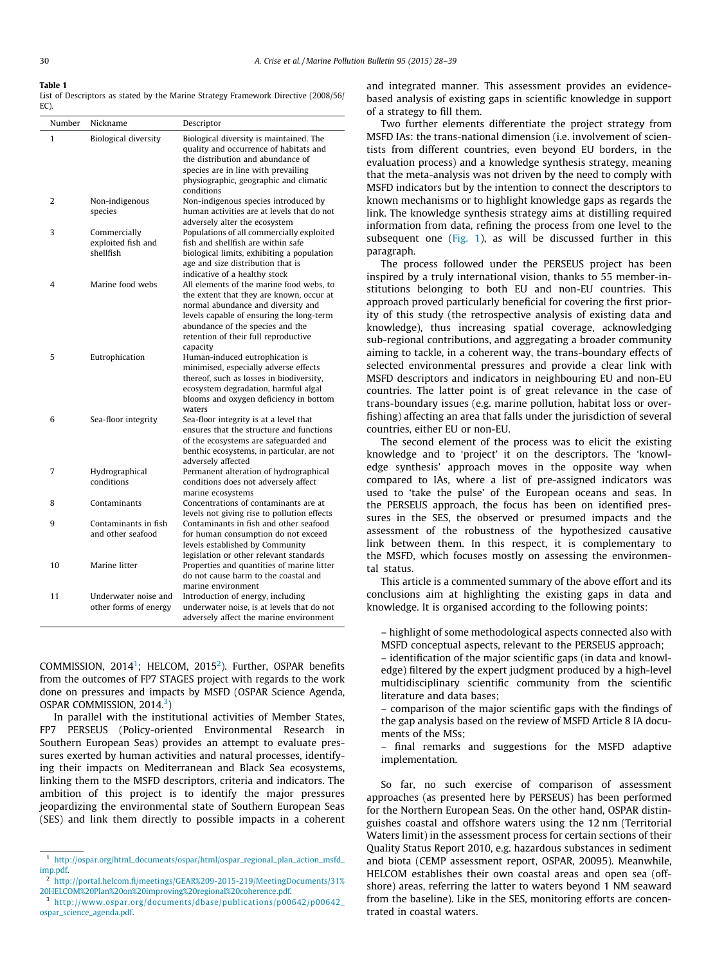<span id="page-2-0"></span>List of Descriptors as stated by the Marine Strategy Framework Directive (2008/56/ EC).

| Number | Nickname                                        | Descriptor                                                                                                                                                                                                                                                     |
|--------|-------------------------------------------------|----------------------------------------------------------------------------------------------------------------------------------------------------------------------------------------------------------------------------------------------------------------|
| 1      | <b>Biological diversity</b>                     | Biological diversity is maintained. The<br>quality and occurrence of habitats and<br>the distribution and abundance of<br>species are in line with prevailing<br>physiographic, geographic and climatic<br>conditions                                          |
| 2      | Non-indigenous<br>species                       | Non-indigenous species introduced by<br>human activities are at levels that do not<br>adversely alter the ecosystem                                                                                                                                            |
| 3      | Commercially<br>exploited fish and<br>shellfish | Populations of all commercially exploited<br>fish and shellfish are within safe<br>biological limits, exhibiting a population<br>age and size distribution that is<br>indicative of a healthy stock                                                            |
| 4      | Marine food webs                                | All elements of the marine food webs, to<br>the extent that they are known, occur at<br>normal abundance and diversity and<br>levels capable of ensuring the long-term<br>abundance of the species and the<br>retention of their full reproductive<br>capacity |
| 5      | Eutrophication                                  | Human-induced eutrophication is<br>minimised, especially adverse effects<br>thereof, such as losses in biodiversity,<br>ecosystem degradation, harmful algal<br>blooms and oxygen deficiency in bottom<br>waters                                               |
| 6      | Sea-floor integrity                             | Sea-floor integrity is at a level that<br>ensures that the structure and functions<br>of the ecosystems are safeguarded and<br>benthic ecosystems, in particular, are not<br>adversely affected                                                                |
| 7      | Hydrographical<br>conditions                    | Permanent alteration of hydrographical<br>conditions does not adversely affect<br>marine ecosystems                                                                                                                                                            |
| 8      | Contaminants                                    | Concentrations of contaminants are at<br>levels not giving rise to pollution effects                                                                                                                                                                           |
| 9      | Contaminants in fish<br>and other seafood       | Contaminants in fish and other seafood<br>for human consumption do not exceed<br>levels established by Community<br>legislation or other relevant standards                                                                                                    |
| 10     | Marine litter                                   | Properties and quantities of marine litter<br>do not cause harm to the coastal and<br>marine environment                                                                                                                                                       |
| 11     | Underwater noise and<br>other forms of energy   | Introduction of energy, including<br>underwater noise, is at levels that do not<br>adversely affect the marine environment                                                                                                                                     |

COMMISSION, 2014<sup>1</sup>; HELCOM, 2015<sup>2</sup>). Further, OSPAR benefits from the outcomes of FP7 STAGES project with regards to the work done on pressures and impacts by MSFD (OSPAR Science Agenda, OSPAR COMMISSION, 2014.<sup>3</sup>)

In parallel with the institutional activities of Member States, FP7 PERSEUS (Policy-oriented Environmental Research in Southern European Seas) provides an attempt to evaluate pressures exerted by human activities and natural processes, identifying their impacts on Mediterranean and Black Sea ecosystems, linking them to the MSFD descriptors, criteria and indicators. The ambition of this project is to identify the major pressures jeopardizing the environmental state of Southern European Seas (SES) and link them directly to possible impacts in a coherent and integrated manner. This assessment provides an evidencebased analysis of existing gaps in scientific knowledge in support of a strategy to fill them.

Two further elements differentiate the project strategy from MSFD IAs: the trans-national dimension (i.e. involvement of scientists from different countries, even beyond EU borders, in the evaluation process) and a knowledge synthesis strategy, meaning that the meta-analysis was not driven by the need to comply with MSFD indicators but by the intention to connect the descriptors to known mechanisms or to highlight knowledge gaps as regards the link. The knowledge synthesis strategy aims at distilling required information from data, refining the process from one level to the subsequent one [\(Fig. 1](#page-3-0)), as will be discussed further in this paragraph.

The process followed under the PERSEUS project has been inspired by a truly international vision, thanks to 55 member-institutions belonging to both EU and non-EU countries. This approach proved particularly beneficial for covering the first priority of this study (the retrospective analysis of existing data and knowledge), thus increasing spatial coverage, acknowledging sub-regional contributions, and aggregating a broader community aiming to tackle, in a coherent way, the trans-boundary effects of selected environmental pressures and provide a clear link with MSFD descriptors and indicators in neighbouring EU and non-EU countries. The latter point is of great relevance in the case of trans-boundary issues (e.g. marine pollution, habitat loss or overfishing) affecting an area that falls under the jurisdiction of several countries, either EU or non-EU.

The second element of the process was to elicit the existing knowledge and to 'project' it on the descriptors. The 'knowledge synthesis' approach moves in the opposite way when compared to IAs, where a list of pre-assigned indicators was used to 'take the pulse' of the European oceans and seas. In the PERSEUS approach, the focus has been on identified pressures in the SES, the observed or presumed impacts and the assessment of the robustness of the hypothesized causative link between them. In this respect, it is complementary to the MSFD, which focuses mostly on assessing the environmental status.

This article is a commented summary of the above effort and its conclusions aim at highlighting the existing gaps in data and knowledge. It is organised according to the following points:

– highlight of some methodological aspects connected also with MSFD conceptual aspects, relevant to the PERSEUS approach;

– identification of the major scientific gaps (in data and knowledge) filtered by the expert judgment produced by a high-level multidisciplinary scientific community from the scientific literature and data bases;

– comparison of the major scientific gaps with the findings of the gap analysis based on the review of MSFD Article 8 IA documents of the MSs;

– final remarks and suggestions for the MSFD adaptive implementation.

So far, no such exercise of comparison of assessment approaches (as presented here by PERSEUS) has been performed for the Northern European Seas. On the other hand, OSPAR distinguishes coastal and offshore waters using the 12 nm (Territorial Waters limit) in the assessment process for certain sections of their Quality Status Report 2010, e.g. hazardous substances in sediment and biota (CEMP assessment report, OSPAR, 20095). Meanwhile, HELCOM establishes their own coastal areas and open sea (offshore) areas, referring the latter to waters beyond 1 NM seaward from the baseline). Like in the SES, monitoring efforts are concentrated in coastal waters.

<sup>1</sup> [http://ospar.org/html\\_documents/ospar/html/ospar\\_regional\\_plan\\_action\\_msfd\\_](http://ospar.org/html_documents/ospar/html/ospar_regional_plan_action_msfd_imp.pdf) [imp.pdf.](http://ospar.org/html_documents/ospar/html/ospar_regional_plan_action_msfd_imp.pdf)

<sup>2</sup> [http://portal.helcom.fi/meetings/GEAR%209-2015-219/MeetingDocuments/31%](http://portal.helcom.fi/meetings/GEAR%209-2015-219/MeetingDocuments/31%20HELCOM%20Plan%20on%20improving%20regional%20coherence.pdf) [20HELCOM%20Plan%20on%20improving%20regional%20coherence.pdf.](http://portal.helcom.fi/meetings/GEAR%209-2015-219/MeetingDocuments/31%20HELCOM%20Plan%20on%20improving%20regional%20coherence.pdf)

<sup>3</sup> [http://www.ospar.org/documents/dbase/publications/p00642/p00642\\_](http://www.ospar.org/documents/dbase/publications/p00642/p00642_ospar_science_agenda.pdf) [ospar\\_science\\_agenda.pdf.](http://www.ospar.org/documents/dbase/publications/p00642/p00642_ospar_science_agenda.pdf)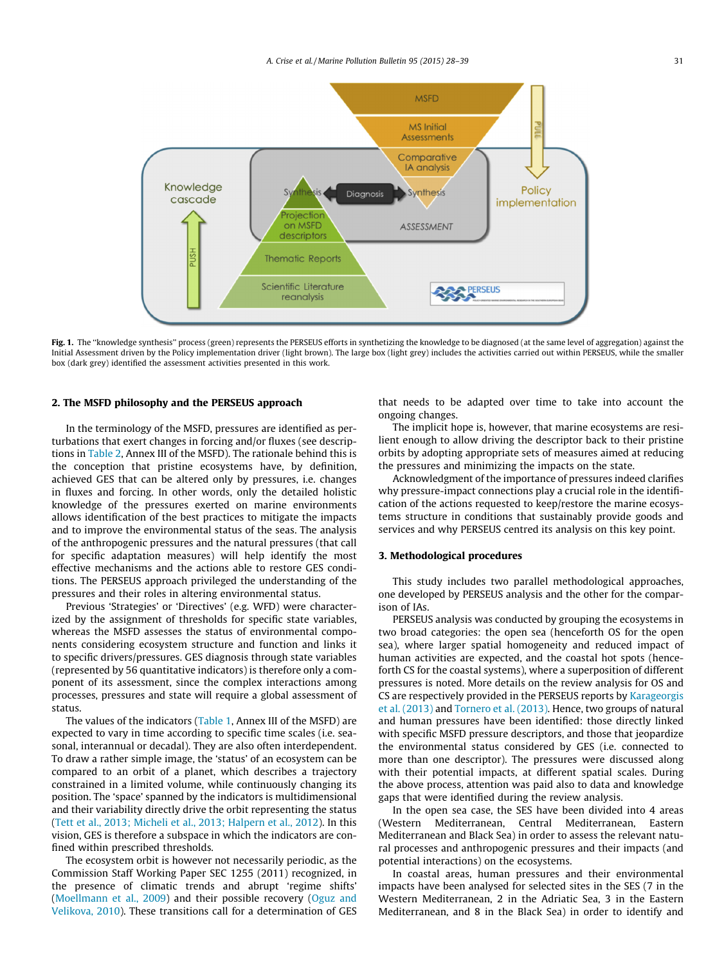<span id="page-3-0"></span>

Fig. 1. The "knowledge synthesis" process (green) represents the PERSEUS efforts in synthetizing the knowledge to be diagnosed (at the same level of aggregation) against the Initial Assessment driven by the Policy implementation driver (light brown). The large box (light grey) includes the activities carried out within PERSEUS, while the smaller box (dark grey) identified the assessment activities presented in this work.

#### 2. The MSFD philosophy and the PERSEUS approach

In the terminology of the MSFD, pressures are identified as perturbations that exert changes in forcing and/or fluxes (see descriptions in [Table 2,](#page-4-0) Annex III of the MSFD). The rationale behind this is the conception that pristine ecosystems have, by definition, achieved GES that can be altered only by pressures, i.e. changes in fluxes and forcing. In other words, only the detailed holistic knowledge of the pressures exerted on marine environments allows identification of the best practices to mitigate the impacts and to improve the environmental status of the seas. The analysis of the anthropogenic pressures and the natural pressures (that call for specific adaptation measures) will help identify the most effective mechanisms and the actions able to restore GES conditions. The PERSEUS approach privileged the understanding of the pressures and their roles in altering environmental status.

Previous 'Strategies' or 'Directives' (e.g. WFD) were characterized by the assignment of thresholds for specific state variables, whereas the MSFD assesses the status of environmental components considering ecosystem structure and function and links it to specific drivers/pressures. GES diagnosis through state variables (represented by 56 quantitative indicators) is therefore only a component of its assessment, since the complex interactions among processes, pressures and state will require a global assessment of status.

The values of the indicators [\(Table 1](#page-2-0), Annex III of the MSFD) are expected to vary in time according to specific time scales (i.e. seasonal, interannual or decadal). They are also often interdependent. To draw a rather simple image, the 'status' of an ecosystem can be compared to an orbit of a planet, which describes a trajectory constrained in a limited volume, while continuously changing its position. The 'space' spanned by the indicators is multidimensional and their variability directly drive the orbit representing the status ([Tett et al., 2013; Micheli et al., 2013; Halpern et al., 2012](#page-11-0)). In this vision, GES is therefore a subspace in which the indicators are confined within prescribed thresholds.

The ecosystem orbit is however not necessarily periodic, as the Commission Staff Working Paper SEC 1255 (2011) recognized, in the presence of climatic trends and abrupt 'regime shifts' ([Moellmann et al., 2009\)](#page-11-0) and their possible recovery ([Oguz and](#page-11-0) [Velikova, 2010\)](#page-11-0). These transitions call for a determination of GES that needs to be adapted over time to take into account the ongoing changes.

The implicit hope is, however, that marine ecosystems are resilient enough to allow driving the descriptor back to their pristine orbits by adopting appropriate sets of measures aimed at reducing the pressures and minimizing the impacts on the state.

Acknowledgment of the importance of pressures indeed clarifies why pressure-impact connections play a crucial role in the identification of the actions requested to keep/restore the marine ecosystems structure in conditions that sustainably provide goods and services and why PERSEUS centred its analysis on this key point.

## 3. Methodological procedures

This study includes two parallel methodological approaches, one developed by PERSEUS analysis and the other for the comparison of IAs.

PERSEUS analysis was conducted by grouping the ecosystems in two broad categories: the open sea (henceforth OS for the open sea), where larger spatial homogeneity and reduced impact of human activities are expected, and the coastal hot spots (henceforth CS for the coastal systems), where a superposition of different pressures is noted. More details on the review analysis for OS and CS are respectively provided in the PERSEUS reports by [Karageorgis](#page-11-0) [et al. \(2013\)](#page-11-0) and [Tornero et al. \(2013\).](#page-11-0) Hence, two groups of natural and human pressures have been identified: those directly linked with specific MSFD pressure descriptors, and those that jeopardize the environmental status considered by GES (i.e. connected to more than one descriptor). The pressures were discussed along with their potential impacts, at different spatial scales. During the above process, attention was paid also to data and knowledge gaps that were identified during the review analysis.

In the open sea case, the SES have been divided into 4 areas (Western Mediterranean, Central Mediterranean, Eastern Mediterranean and Black Sea) in order to assess the relevant natural processes and anthropogenic pressures and their impacts (and potential interactions) on the ecosystems.

In coastal areas, human pressures and their environmental impacts have been analysed for selected sites in the SES (7 in the Western Mediterranean, 2 in the Adriatic Sea, 3 in the Eastern Mediterranean, and 8 in the Black Sea) in order to identify and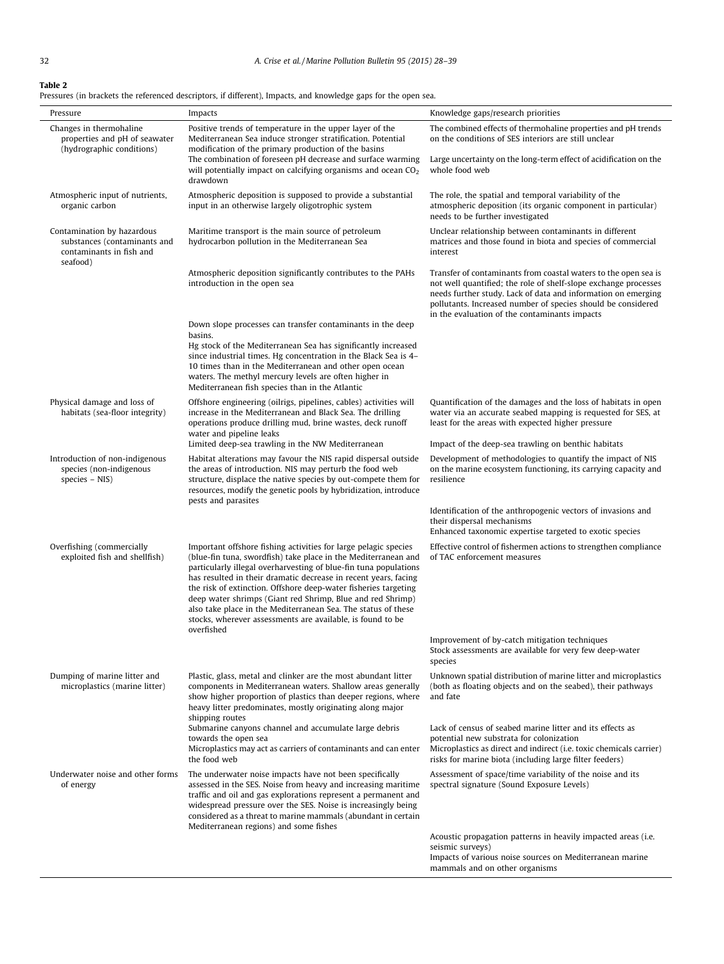<span id="page-4-0"></span>Pressures (in brackets the referenced descriptors, if different), Impacts, and knowledge gaps for the open sea.

| Pressure                                                                                           | Impacts                                                                                                                                                                                                                                                                                                                                                                                                                                                                                                                                                | Knowledge gaps/research priorities                                                                                                                                                                                                                                                                                   |
|----------------------------------------------------------------------------------------------------|--------------------------------------------------------------------------------------------------------------------------------------------------------------------------------------------------------------------------------------------------------------------------------------------------------------------------------------------------------------------------------------------------------------------------------------------------------------------------------------------------------------------------------------------------------|----------------------------------------------------------------------------------------------------------------------------------------------------------------------------------------------------------------------------------------------------------------------------------------------------------------------|
| Changes in thermohaline<br>properties and pH of seawater<br>(hydrographic conditions)              | Positive trends of temperature in the upper layer of the<br>Mediterranean Sea induce stronger stratification. Potential<br>modification of the primary production of the basins                                                                                                                                                                                                                                                                                                                                                                        | The combined effects of thermohaline properties and pH trends<br>on the conditions of SES interiors are still unclear                                                                                                                                                                                                |
|                                                                                                    | The combination of foreseen pH decrease and surface warming<br>will potentially impact on calcifying organisms and ocean $CO2$<br>drawdown                                                                                                                                                                                                                                                                                                                                                                                                             | Large uncertainty on the long-term effect of acidification on the<br>whole food web                                                                                                                                                                                                                                  |
| Atmospheric input of nutrients,<br>organic carbon                                                  | Atmospheric deposition is supposed to provide a substantial<br>input in an otherwise largely oligotrophic system                                                                                                                                                                                                                                                                                                                                                                                                                                       | The role, the spatial and temporal variability of the<br>atmospheric deposition (its organic component in particular)<br>needs to be further investigated                                                                                                                                                            |
| Contamination by hazardous<br>substances (contaminants and<br>contaminants in fish and<br>seafood) | Maritime transport is the main source of petroleum<br>hydrocarbon pollution in the Mediterranean Sea                                                                                                                                                                                                                                                                                                                                                                                                                                                   | Unclear relationship between contaminants in different<br>matrices and those found in biota and species of commercial<br>interest                                                                                                                                                                                    |
|                                                                                                    | Atmospheric deposition significantly contributes to the PAHs<br>introduction in the open sea                                                                                                                                                                                                                                                                                                                                                                                                                                                           | Transfer of contaminants from coastal waters to the open sea is<br>not well quantified; the role of shelf-slope exchange processes<br>needs further study. Lack of data and information on emerging<br>pollutants. Increased number of species should be considered<br>in the evaluation of the contaminants impacts |
|                                                                                                    | Down slope processes can transfer contaminants in the deep<br>basins.                                                                                                                                                                                                                                                                                                                                                                                                                                                                                  |                                                                                                                                                                                                                                                                                                                      |
|                                                                                                    | Hg stock of the Mediterranean Sea has significantly increased<br>since industrial times. Hg concentration in the Black Sea is 4–<br>10 times than in the Mediterranean and other open ocean<br>waters. The methyl mercury levels are often higher in<br>Mediterranean fish species than in the Atlantic                                                                                                                                                                                                                                                |                                                                                                                                                                                                                                                                                                                      |
| Physical damage and loss of<br>habitats (sea-floor integrity)                                      | Offshore engineering (oilrigs, pipelines, cables) activities will<br>increase in the Mediterranean and Black Sea. The drilling<br>operations produce drilling mud, brine wastes, deck runoff<br>water and pipeline leaks                                                                                                                                                                                                                                                                                                                               | Quantification of the damages and the loss of habitats in open<br>water via an accurate seabed mapping is requested for SES, at<br>least for the areas with expected higher pressure                                                                                                                                 |
| Introduction of non-indigenous                                                                     | Limited deep-sea trawling in the NW Mediterranean<br>Habitat alterations may favour the NIS rapid dispersal outside                                                                                                                                                                                                                                                                                                                                                                                                                                    | Impact of the deep-sea trawling on benthic habitats<br>Development of methodologies to quantify the impact of NIS                                                                                                                                                                                                    |
| species (non-indigenous<br>species - NIS)                                                          | the areas of introduction. NIS may perturb the food web<br>structure, displace the native species by out-compete them for<br>resources, modify the genetic pools by hybridization, introduce<br>pests and parasites                                                                                                                                                                                                                                                                                                                                    | on the marine ecosystem functioning, its carrying capacity and<br>resilience                                                                                                                                                                                                                                         |
|                                                                                                    |                                                                                                                                                                                                                                                                                                                                                                                                                                                                                                                                                        | Identification of the anthropogenic vectors of invasions and<br>their dispersal mechanisms<br>Enhanced taxonomic expertise targeted to exotic species                                                                                                                                                                |
| Overfishing (commercially<br>exploited fish and shellfish)                                         | Important offshore fishing activities for large pelagic species<br>(blue-fin tuna, swordfish) take place in the Mediterranean and<br>particularly illegal overharvesting of blue-fin tuna populations<br>has resulted in their dramatic decrease in recent years, facing<br>the risk of extinction. Offshore deep-water fisheries targeting<br>deep water shrimps (Giant red Shrimp, Blue and red Shrimp)<br>also take place in the Mediterranean Sea. The status of these<br>stocks, wherever assessments are available, is found to be<br>overfished | Effective control of fishermen actions to strengthen compliance<br>of TAC enforcement measures                                                                                                                                                                                                                       |
|                                                                                                    |                                                                                                                                                                                                                                                                                                                                                                                                                                                                                                                                                        | Improvement of by-catch mitigation techniques<br>Stock assessments are available for very few deep-water<br>species                                                                                                                                                                                                  |
| Dumping of marine litter and<br>microplastics (marine litter)                                      | Plastic, glass, metal and clinker are the most abundant litter<br>components in Mediterranean waters. Shallow areas generally<br>show higher proportion of plastics than deeper regions, where<br>heavy litter predominates, mostly originating along major<br>shipping routes                                                                                                                                                                                                                                                                         | Unknown spatial distribution of marine litter and microplastics<br>(both as floating objects and on the seabed), their pathways<br>and fate                                                                                                                                                                          |
|                                                                                                    | Submarine canyons channel and accumulate large debris<br>towards the open sea<br>Microplastics may act as carriers of contaminants and can enter<br>the food web                                                                                                                                                                                                                                                                                                                                                                                       | Lack of census of seabed marine litter and its effects as<br>potential new substrata for colonization<br>Microplastics as direct and indirect (i.e. toxic chemicals carrier)<br>risks for marine biota (including large filter feeders)                                                                              |
| Underwater noise and other forms<br>of energy                                                      | The underwater noise impacts have not been specifically<br>assessed in the SES. Noise from heavy and increasing maritime<br>traffic and oil and gas explorations represent a permanent and<br>widespread pressure over the SES. Noise is increasingly being<br>considered as a threat to marine mammals (abundant in certain<br>Mediterranean regions) and some fishes                                                                                                                                                                                 | Assessment of space/time variability of the noise and its<br>spectral signature (Sound Exposure Levels)                                                                                                                                                                                                              |
|                                                                                                    |                                                                                                                                                                                                                                                                                                                                                                                                                                                                                                                                                        | Acoustic propagation patterns in heavily impacted areas (i.e.<br>seismic surveys)<br>Impacts of various noise sources on Mediterranean marine<br>mammals and on other organisms                                                                                                                                      |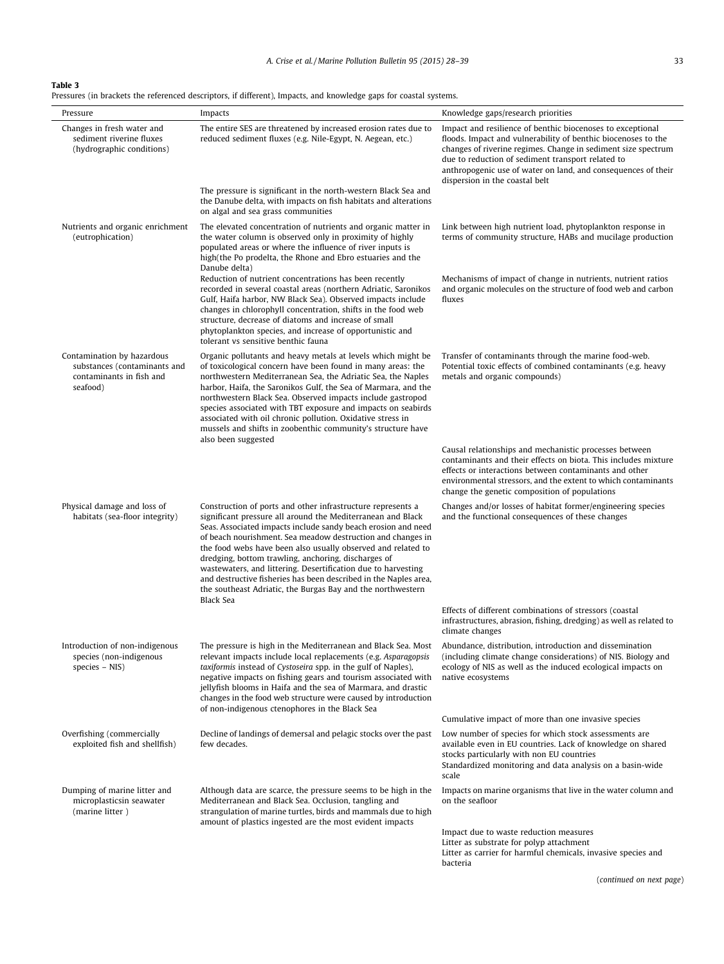<span id="page-5-0"></span>

|  |  |  | Pressures (in brackets the referenced descriptors, if different), Impacts, and knowledge gaps for coastal systems. |  |
|--|--|--|--------------------------------------------------------------------------------------------------------------------|--|
|  |  |  |                                                                                                                    |  |

| Pressure                                                                                           | Impacts                                                                                                                                                                                                                                                                                                                                                                                                                                                                                                                                                                                                   | Knowledge gaps/research priorities                                                                                                                                                                                                                                                                                                                   |
|----------------------------------------------------------------------------------------------------|-----------------------------------------------------------------------------------------------------------------------------------------------------------------------------------------------------------------------------------------------------------------------------------------------------------------------------------------------------------------------------------------------------------------------------------------------------------------------------------------------------------------------------------------------------------------------------------------------------------|------------------------------------------------------------------------------------------------------------------------------------------------------------------------------------------------------------------------------------------------------------------------------------------------------------------------------------------------------|
| Changes in fresh water and<br>sediment riverine fluxes<br>(hydrographic conditions)                | The entire SES are threatened by increased erosion rates due to<br>reduced sediment fluxes (e.g. Nile-Egypt, N. Aegean, etc.)                                                                                                                                                                                                                                                                                                                                                                                                                                                                             | Impact and resilience of benthic biocenoses to exceptional<br>floods. Impact and vulnerability of benthic biocenoses to the<br>changes of riverine regimes. Change in sediment size spectrum<br>due to reduction of sediment transport related to<br>anthropogenic use of water on land, and consequences of their<br>dispersion in the coastal belt |
|                                                                                                    | The pressure is significant in the north-western Black Sea and<br>the Danube delta, with impacts on fish habitats and alterations<br>on algal and sea grass communities                                                                                                                                                                                                                                                                                                                                                                                                                                   |                                                                                                                                                                                                                                                                                                                                                      |
| Nutrients and organic enrichment<br>(eutrophication)                                               | The elevated concentration of nutrients and organic matter in<br>the water column is observed only in proximity of highly<br>populated areas or where the influence of river inputs is<br>high(the Po prodelta, the Rhone and Ebro estuaries and the<br>Danube delta)                                                                                                                                                                                                                                                                                                                                     | Link between high nutrient load, phytoplankton response in<br>terms of community structure, HABs and mucilage production                                                                                                                                                                                                                             |
|                                                                                                    | Reduction of nutrient concentrations has been recently<br>recorded in several coastal areas (northern Adriatic, Saronikos<br>Gulf, Haifa harbor, NW Black Sea). Observed impacts include<br>changes in chlorophyll concentration, shifts in the food web<br>structure, decrease of diatoms and increase of small<br>phytoplankton species, and increase of opportunistic and<br>tolerant vs sensitive benthic fauna                                                                                                                                                                                       | Mechanisms of impact of change in nutrients, nutrient ratios<br>and organic molecules on the structure of food web and carbon<br>fluxes                                                                                                                                                                                                              |
| Contamination by hazardous<br>substances (contaminants and<br>contaminants in fish and<br>seafood) | Organic pollutants and heavy metals at levels which might be<br>of toxicological concern have been found in many areas: the<br>northwestern Mediterranean Sea, the Adriatic Sea, the Naples<br>harbor, Haifa, the Saronikos Gulf, the Sea of Marmara, and the<br>northwestern Black Sea. Observed impacts include gastropod<br>species associated with TBT exposure and impacts on seabirds<br>associated with oil chronic pollution. Oxidative stress in<br>mussels and shifts in zoobenthic community's structure have<br>also been suggested                                                           | Transfer of contaminants through the marine food-web.<br>Potential toxic effects of combined contaminants (e.g. heavy<br>metals and organic compounds)                                                                                                                                                                                               |
|                                                                                                    |                                                                                                                                                                                                                                                                                                                                                                                                                                                                                                                                                                                                           | Causal relationships and mechanistic processes between<br>contaminants and their effects on biota. This includes mixture<br>effects or interactions between contaminants and other<br>environmental stressors, and the extent to which contaminants<br>change the genetic composition of populations                                                 |
| Physical damage and loss of<br>habitats (sea-floor integrity)                                      | Construction of ports and other infrastructure represents a<br>significant pressure all around the Mediterranean and Black<br>Seas. Associated impacts include sandy beach erosion and need<br>of beach nourishment. Sea meadow destruction and changes in<br>the food webs have been also usually observed and related to<br>dredging, bottom trawling, anchoring, discharges of<br>wastewaters, and littering. Desertification due to harvesting<br>and destructive fisheries has been described in the Naples area,<br>the southeast Adriatic, the Burgas Bay and the northwestern<br><b>Black Sea</b> | Changes and/or losses of habitat former/engineering species<br>and the functional consequences of these changes                                                                                                                                                                                                                                      |
|                                                                                                    |                                                                                                                                                                                                                                                                                                                                                                                                                                                                                                                                                                                                           | Effects of different combinations of stressors (coastal<br>infrastructures, abrasion, fishing, dredging) as well as related to<br>climate changes                                                                                                                                                                                                    |
| Introduction or non-indigenous<br>species (non-indigenous<br>species – NIS)                        | The pressure is high in the Mediterranean and Black Sea. Most<br>relevant impacts include local replacements (e.g. Asparagopsis<br>taxiformis instead of Cystoseira spp. in the gulf of Naples),<br>negative impacts on fishing gears and tourism associated with<br>jellyfish blooms in Haifa and the sea of Marmara, and drastic<br>changes in the food web structure were caused by introduction<br>of non-indigenous ctenophores in the Black Sea                                                                                                                                                     | Abundance, distribution, introduction and dissemination<br>(including climate change considerations) of NIS. Biology and<br>ecology of NIS as well as the induced ecological impacts on<br>native ecosystems                                                                                                                                         |
|                                                                                                    |                                                                                                                                                                                                                                                                                                                                                                                                                                                                                                                                                                                                           | Cumulative impact of more than one invasive species                                                                                                                                                                                                                                                                                                  |
| Overfishing (commercially<br>exploited fish and shellfish)                                         | Decline of landings of demersal and pelagic stocks over the past<br>few decades.                                                                                                                                                                                                                                                                                                                                                                                                                                                                                                                          | Low number of species for which stock assessments are<br>available even in EU countries. Lack of knowledge on shared<br>stocks particularly with non EU countries<br>Standardized monitoring and data analysis on a basin-wide<br>scale                                                                                                              |
| Dumping of marine litter and<br>microplasticsin seawater<br>(marine litter)                        | Although data are scarce, the pressure seems to be high in the<br>Mediterranean and Black Sea. Occlusion, tangling and<br>strangulation of marine turtles, birds and mammals due to high<br>amount of plastics ingested are the most evident impacts                                                                                                                                                                                                                                                                                                                                                      | Impacts on marine organisms that live in the water column and<br>on the seafloor                                                                                                                                                                                                                                                                     |
|                                                                                                    |                                                                                                                                                                                                                                                                                                                                                                                                                                                                                                                                                                                                           | Impact due to waste reduction measures<br>Litter as substrate for polyp attachment<br>Litter as carrier for harmful chemicals, invasive species and<br>bacteria                                                                                                                                                                                      |

(continued on next page)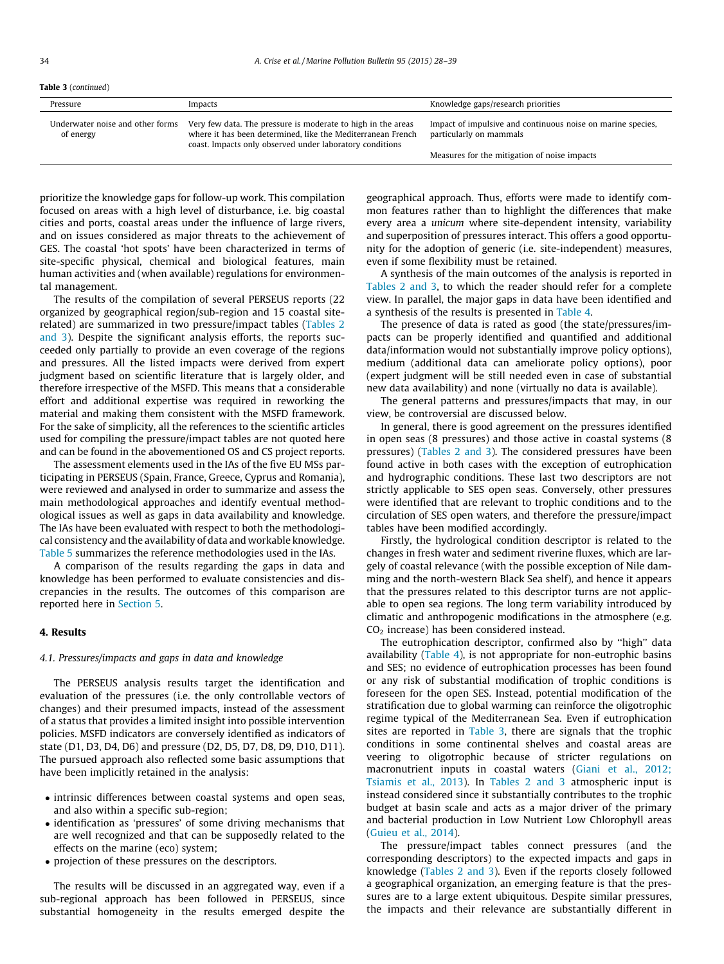|  | <b>Table 3</b> (continued) |  |
|--|----------------------------|--|
|--|----------------------------|--|

| Pressure                                      | Impacts                                                                                                                                                                                 | Knowledge gaps/research priorities                                                     |
|-----------------------------------------------|-----------------------------------------------------------------------------------------------------------------------------------------------------------------------------------------|----------------------------------------------------------------------------------------|
| Underwater noise and other forms<br>of energy | Very few data. The pressure is moderate to high in the areas<br>where it has been determined, like the Mediterranean French<br>coast. Impacts only observed under laboratory conditions | Impact of impulsive and continuous noise on marine species,<br>particularly on mammals |
|                                               |                                                                                                                                                                                         | Measures for the mitigation of noise impacts                                           |

prioritize the knowledge gaps for follow-up work. This compilation focused on areas with a high level of disturbance, i.e. big coastal cities and ports, coastal areas under the influence of large rivers, and on issues considered as major threats to the achievement of GES. The coastal 'hot spots' have been characterized in terms of site-specific physical, chemical and biological features, main human activities and (when available) regulations for environmental management.

The results of the compilation of several PERSEUS reports (22 organized by geographical region/sub-region and 15 coastal siterelated) are summarized in two pressure/impact tables ([Tables 2](#page-4-0) [and 3\)](#page-4-0). Despite the significant analysis efforts, the reports succeeded only partially to provide an even coverage of the regions and pressures. All the listed impacts were derived from expert judgment based on scientific literature that is largely older, and therefore irrespective of the MSFD. This means that a considerable effort and additional expertise was required in reworking the material and making them consistent with the MSFD framework. For the sake of simplicity, all the references to the scientific articles used for compiling the pressure/impact tables are not quoted here and can be found in the abovementioned OS and CS project reports.

The assessment elements used in the IAs of the five EU MSs participating in PERSEUS (Spain, France, Greece, Cyprus and Romania), were reviewed and analysed in order to summarize and assess the main methodological approaches and identify eventual methodological issues as well as gaps in data availability and knowledge. The IAs have been evaluated with respect to both the methodological consistency and the availability of data and workable knowledge. [Table 5](#page-7-0) summarizes the reference methodologies used in the IAs.

A comparison of the results regarding the gaps in data and knowledge has been performed to evaluate consistencies and discrepancies in the results. The outcomes of this comparison are reported here in [Section 5](#page-9-0).

#### 4. Results

#### 4.1. Pressures/impacts and gaps in data and knowledge

The PERSEUS analysis results target the identification and evaluation of the pressures (i.e. the only controllable vectors of changes) and their presumed impacts, instead of the assessment of a status that provides a limited insight into possible intervention policies. MSFD indicators are conversely identified as indicators of state (D1, D3, D4, D6) and pressure (D2, D5, D7, D8, D9, D10, D11). The pursued approach also reflected some basic assumptions that have been implicitly retained in the analysis:

- intrinsic differences between coastal systems and open seas, and also within a specific sub-region;
- identification as 'pressures' of some driving mechanisms that are well recognized and that can be supposedly related to the effects on the marine (eco) system;
- projection of these pressures on the descriptors.

The results will be discussed in an aggregated way, even if a sub-regional approach has been followed in PERSEUS, since substantial homogeneity in the results emerged despite the geographical approach. Thus, efforts were made to identify common features rather than to highlight the differences that make every area a unicum where site-dependent intensity, variability and superposition of pressures interact. This offers a good opportunity for the adoption of generic (i.e. site-independent) measures, even if some flexibility must be retained.

A synthesis of the main outcomes of the analysis is reported in [Tables 2 and 3,](#page-4-0) to which the reader should refer for a complete view. In parallel, the major gaps in data have been identified and a synthesis of the results is presented in [Table 4.](#page-7-0)

The presence of data is rated as good (the state/pressures/impacts can be properly identified and quantified and additional data/information would not substantially improve policy options), medium (additional data can ameliorate policy options), poor (expert judgment will be still needed even in case of substantial new data availability) and none (virtually no data is available).

The general patterns and pressures/impacts that may, in our view, be controversial are discussed below.

In general, there is good agreement on the pressures identified in open seas (8 pressures) and those active in coastal systems (8 pressures) ([Tables 2 and 3](#page-4-0)). The considered pressures have been found active in both cases with the exception of eutrophication and hydrographic conditions. These last two descriptors are not strictly applicable to SES open seas. Conversely, other pressures were identified that are relevant to trophic conditions and to the circulation of SES open waters, and therefore the pressure/impact tables have been modified accordingly.

Firstly, the hydrological condition descriptor is related to the changes in fresh water and sediment riverine fluxes, which are largely of coastal relevance (with the possible exception of Nile damming and the north-western Black Sea shelf), and hence it appears that the pressures related to this descriptor turns are not applicable to open sea regions. The long term variability introduced by climatic and anthropogenic modifications in the atmosphere (e.g.  $CO<sub>2</sub>$  increase) has been considered instead.

The eutrophication descriptor, confirmed also by ''high'' data availability ([Table 4\)](#page-7-0), is not appropriate for non-eutrophic basins and SES; no evidence of eutrophication processes has been found or any risk of substantial modification of trophic conditions is foreseen for the open SES. Instead, potential modification of the stratification due to global warming can reinforce the oligotrophic regime typical of the Mediterranean Sea. Even if eutrophication sites are reported in [Table 3](#page-5-0), there are signals that the trophic conditions in some continental shelves and coastal areas are veering to oligotrophic because of stricter regulations on macronutrient inputs in coastal waters [\(Giani et al., 2012;](#page-11-0) [Tsiamis et al., 2013](#page-11-0)). In [Tables 2 and 3](#page-4-0) atmospheric input is instead considered since it substantially contributes to the trophic budget at basin scale and acts as a major driver of the primary and bacterial production in Low Nutrient Low Chlorophyll areas ([Guieu et al., 2014\)](#page-11-0).

The pressure/impact tables connect pressures (and the corresponding descriptors) to the expected impacts and gaps in knowledge [\(Tables 2 and 3\)](#page-4-0). Even if the reports closely followed a geographical organization, an emerging feature is that the pressures are to a large extent ubiquitous. Despite similar pressures, the impacts and their relevance are substantially different in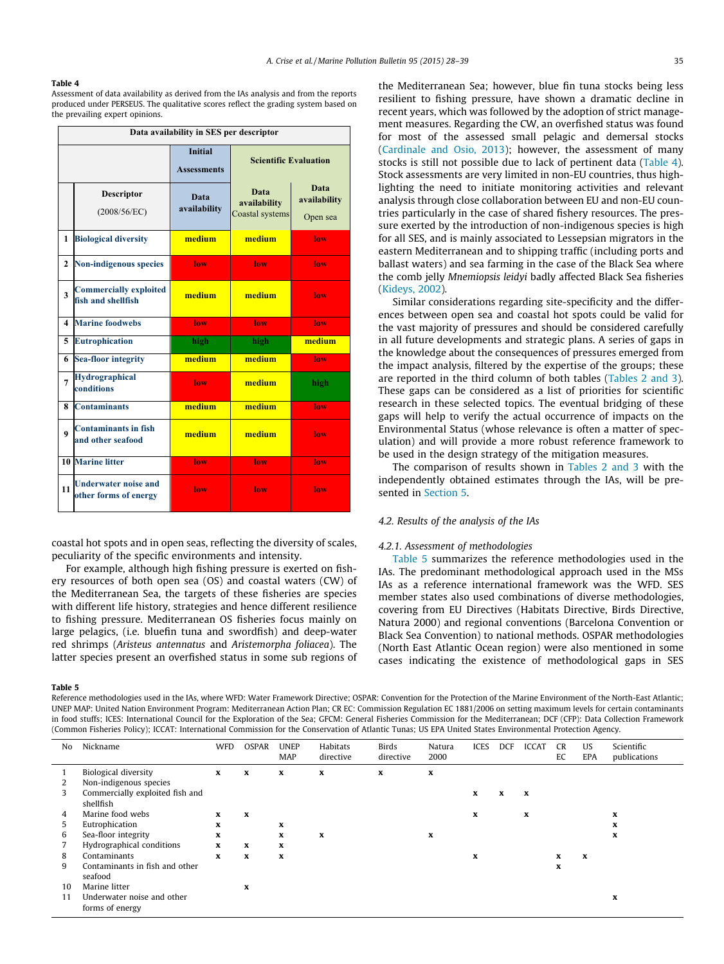<span id="page-7-0"></span>Assessment of data availability as derived from the IAs analysis and from the reports produced under PERSEUS. The qualitative scores reflect the grading system based on the prevailing expert opinions.

|                  | Data availability in SES per descriptor              |                                      |                                  |        |  |  |  |  |  |  |
|------------------|------------------------------------------------------|--------------------------------------|----------------------------------|--------|--|--|--|--|--|--|
|                  |                                                      | <b>Initial</b><br><b>Assessments</b> | <b>Scientific Evaluation</b>     |        |  |  |  |  |  |  |
|                  | Descriptor<br>(2008/56/EC)                           | Data<br>availability                 | Data<br>availability<br>Open sea |        |  |  |  |  |  |  |
| 1                | <b>Biological diversity</b>                          | medium                               | medium                           | low    |  |  |  |  |  |  |
| $\mathbf{2}$     | <b>Non-indigenous species</b>                        | low                                  | low                              | low    |  |  |  |  |  |  |
| 3                | <b>Commercially exploited</b><br>fish and shellfish  | medium                               | medium                           | low    |  |  |  |  |  |  |
| 4                | <b>Marine foodwebs</b>                               | low                                  | low.                             | low    |  |  |  |  |  |  |
| 5                | <b>Eutrophication</b>                                | high                                 | high                             | medium |  |  |  |  |  |  |
| 6                | <b>Sea-floor integrity</b>                           | medium                               | medium                           | low    |  |  |  |  |  |  |
| $\overline{7}$   | <b>Hydrographical</b><br>conditions                  | low                                  | medium                           | high   |  |  |  |  |  |  |
| 8                | <b>Contaminants</b>                                  | medium                               | medium                           | low    |  |  |  |  |  |  |
| $\boldsymbol{Q}$ | <b>Contaminants in fish</b><br>and other seafood     | medium                               | medium                           | low    |  |  |  |  |  |  |
|                  | <b>10 Marine litter</b>                              | low                                  | low                              | low    |  |  |  |  |  |  |
| 11               | <b>Underwater noise and</b><br>other forms of energy | low                                  | low                              | low    |  |  |  |  |  |  |

coastal hot spots and in open seas, reflecting the diversity of scales, peculiarity of the specific environments and intensity.

For example, although high fishing pressure is exerted on fishery resources of both open sea (OS) and coastal waters (CW) of the Mediterranean Sea, the targets of these fisheries are species with different life history, strategies and hence different resilience to fishing pressure. Mediterranean OS fisheries focus mainly on large pelagics, (i.e. bluefin tuna and swordfish) and deep-water red shrimps (Aristeus antennatus and Aristemorpha foliacea). The latter species present an overfished status in some sub regions of the Mediterranean Sea; however, blue fin tuna stocks being less resilient to fishing pressure, have shown a dramatic decline in recent years, which was followed by the adoption of strict management measures. Regarding the CW, an overfished status was found for most of the assessed small pelagic and demersal stocks ([Cardinale and Osio, 2013](#page-11-0)); however, the assessment of many stocks is still not possible due to lack of pertinent data (Table 4). Stock assessments are very limited in non-EU countries, thus highlighting the need to initiate monitoring activities and relevant analysis through close collaboration between EU and non-EU countries particularly in the case of shared fishery resources. The pressure exerted by the introduction of non-indigenous species is high for all SES, and is mainly associated to Lessepsian migrators in the eastern Mediterranean and to shipping traffic (including ports and ballast waters) and sea farming in the case of the Black Sea where the comb jelly Mnemiopsis leidyi badly affected Black Sea fisheries ([Kideys, 2002](#page-11-0)).

Similar considerations regarding site-specificity and the differences between open sea and coastal hot spots could be valid for the vast majority of pressures and should be considered carefully in all future developments and strategic plans. A series of gaps in the knowledge about the consequences of pressures emerged from the impact analysis, filtered by the expertise of the groups; these are reported in the third column of both tables ([Tables 2 and 3\)](#page-4-0). These gaps can be considered as a list of priorities for scientific research in these selected topics. The eventual bridging of these gaps will help to verify the actual occurrence of impacts on the Environmental Status (whose relevance is often a matter of speculation) and will provide a more robust reference framework to be used in the design strategy of the mitigation measures.

The comparison of results shown in [Tables 2 and 3](#page-4-0) with the independently obtained estimates through the IAs, will be presented in [Section 5](#page-9-0).

## 4.2. Results of the analysis of the IAs

## 4.2.1. Assessment of methodologies

Table 5 summarizes the reference methodologies used in the IAs. The predominant methodological approach used in the MSs IAs as a reference international framework was the WFD. SES member states also used combinations of diverse methodologies, covering from EU Directives (Habitats Directive, Birds Directive, Natura 2000) and regional conventions (Barcelona Convention or Black Sea Convention) to national methods. OSPAR methodologies (North East Atlantic Ocean region) were also mentioned in some cases indicating the existence of methodological gaps in SES

#### Table 5

Reference methodologies used in the IAs, where WFD: Water Framework Directive; OSPAR: Convention for the Protection of the Marine Environment of the North-East Atlantic; UNEP MAP: United Nation Environment Program: Mediterranean Action Plan; CR EC: Commission Regulation EC 1881/2006 on setting maximum levels for certain contaminants in food stuffs; ICES: International Council for the Exploration of the Sea; GFCM: General Fisheries Commission for the Mediterranean; DCF (CFP): Data Collection Framework (Common Fisheries Policy); ICCAT: International Commission for the Conservation of Atlantic Tunas; US EPA United States Environmental Protection Agency.

| No. | Nickname                        | <b>WFD</b>   | <b>OSPAR</b> | <b>UNEP</b><br><b>MAP</b> | Habitats<br>directive | <b>Birds</b><br>directive | Natura<br>2000 | <b>ICES</b> | <b>DCF</b> | <b>ICCAT</b> | <b>CR</b><br>EC | US<br>EPA | Scientific<br>publications |
|-----|---------------------------------|--------------|--------------|---------------------------|-----------------------|---------------------------|----------------|-------------|------------|--------------|-----------------|-----------|----------------------------|
|     | <b>Biological diversity</b>     | x            | $\mathbf x$  | X                         | X                     | X                         | X              |             |            |              |                 |           |                            |
|     | Non-indigenous species          |              |              |                           |                       |                           |                |             |            |              |                 |           |                            |
| 3   | Commercially exploited fish and |              |              |                           |                       |                           |                | x           | x          | $\mathbf{x}$ |                 |           |                            |
|     | shellfish                       |              |              |                           |                       |                           |                |             |            |              |                 |           |                            |
| 4   | Marine food webs                | x            | $\mathbf{x}$ |                           |                       |                           |                | X           |            | X            |                 |           | X                          |
| 5   | Eutrophication                  | x            |              | x                         |                       |                           |                |             |            |              |                 |           | X                          |
| 6   | Sea-floor integrity             | x            |              | x                         | X                     |                           | X              |             |            |              |                 |           | X                          |
|     | Hydrographical conditions       | $\mathbf{x}$ | $\mathbf x$  | x                         |                       |                           |                |             |            |              |                 |           |                            |
| 8   | Contaminants                    | $\mathbf x$  | $\mathbf{x}$ | $\mathbf{x}$              |                       |                           |                | x           |            |              |                 | X         |                            |
| 9   | Contaminants in fish and other  |              |              |                           |                       |                           |                |             |            |              | X               |           |                            |
|     | seafood                         |              |              |                           |                       |                           |                |             |            |              |                 |           |                            |
| 10  | Marine litter                   |              | X            |                           |                       |                           |                |             |            |              |                 |           |                            |
| 11  | Underwater noise and other      |              |              |                           |                       |                           |                |             |            |              |                 |           | X                          |
|     | forms of energy                 |              |              |                           |                       |                           |                |             |            |              |                 |           |                            |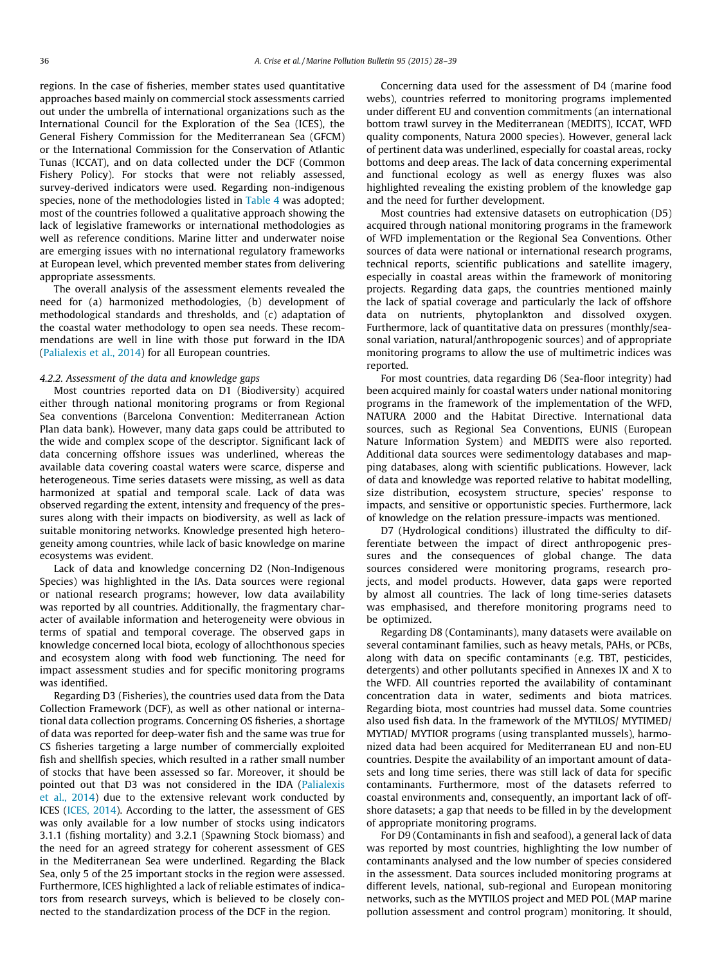regions. In the case of fisheries, member states used quantitative approaches based mainly on commercial stock assessments carried out under the umbrella of international organizations such as the International Council for the Exploration of the Sea (ICES), the General Fishery Commission for the Mediterranean Sea (GFCM) or the International Commission for the Conservation of Atlantic Tunas (ICCAT), and on data collected under the DCF (Common Fishery Policy). For stocks that were not reliably assessed, survey-derived indicators were used. Regarding non-indigenous species, none of the methodologies listed in [Table 4](#page-7-0) was adopted; most of the countries followed a qualitative approach showing the lack of legislative frameworks or international methodologies as well as reference conditions. Marine litter and underwater noise are emerging issues with no international regulatory frameworks at European level, which prevented member states from delivering appropriate assessments.

The overall analysis of the assessment elements revealed the need for (a) harmonized methodologies, (b) development of methodological standards and thresholds, and (c) adaptation of the coastal water methodology to open sea needs. These recommendations are well in line with those put forward in the IDA ([Palialexis et al., 2014\)](#page-11-0) for all European countries.

#### 4.2.2. Assessment of the data and knowledge gaps

Most countries reported data on D1 (Biodiversity) acquired either through national monitoring programs or from Regional Sea conventions (Barcelona Convention: Mediterranean Action Plan data bank). However, many data gaps could be attributed to the wide and complex scope of the descriptor. Significant lack of data concerning offshore issues was underlined, whereas the available data covering coastal waters were scarce, disperse and heterogeneous. Time series datasets were missing, as well as data harmonized at spatial and temporal scale. Lack of data was observed regarding the extent, intensity and frequency of the pressures along with their impacts on biodiversity, as well as lack of suitable monitoring networks. Knowledge presented high heterogeneity among countries, while lack of basic knowledge on marine ecosystems was evident.

Lack of data and knowledge concerning D2 (Non-Indigenous Species) was highlighted in the IAs. Data sources were regional or national research programs; however, low data availability was reported by all countries. Additionally, the fragmentary character of available information and heterogeneity were obvious in terms of spatial and temporal coverage. The observed gaps in knowledge concerned local biota, ecology of allochthonous species and ecosystem along with food web functioning. The need for impact assessment studies and for specific monitoring programs was identified.

Regarding D3 (Fisheries), the countries used data from the Data Collection Framework (DCF), as well as other national or international data collection programs. Concerning OS fisheries, a shortage of data was reported for deep-water fish and the same was true for CS fisheries targeting a large number of commercially exploited fish and shellfish species, which resulted in a rather small number of stocks that have been assessed so far. Moreover, it should be pointed out that D3 was not considered in the IDA [\(Palialexis](#page-11-0) [et al., 2014](#page-11-0)) due to the extensive relevant work conducted by ICES [\(ICES, 2014\)](#page-11-0). According to the latter, the assessment of GES was only available for a low number of stocks using indicators 3.1.1 (fishing mortality) and 3.2.1 (Spawning Stock biomass) and the need for an agreed strategy for coherent assessment of GES in the Mediterranean Sea were underlined. Regarding the Black Sea, only 5 of the 25 important stocks in the region were assessed. Furthermore, ICES highlighted a lack of reliable estimates of indicators from research surveys, which is believed to be closely connected to the standardization process of the DCF in the region.

Concerning data used for the assessment of D4 (marine food webs), countries referred to monitoring programs implemented under different EU and convention commitments (an international bottom trawl survey in the Mediterranean (MEDITS), ICCAT, WFD quality components, Natura 2000 species). However, general lack of pertinent data was underlined, especially for coastal areas, rocky bottoms and deep areas. The lack of data concerning experimental and functional ecology as well as energy fluxes was also highlighted revealing the existing problem of the knowledge gap and the need for further development.

Most countries had extensive datasets on eutrophication (D5) acquired through national monitoring programs in the framework of WFD implementation or the Regional Sea Conventions. Other sources of data were national or international research programs, technical reports, scientific publications and satellite imagery, especially in coastal areas within the framework of monitoring projects. Regarding data gaps, the countries mentioned mainly the lack of spatial coverage and particularly the lack of offshore data on nutrients, phytoplankton and dissolved oxygen. Furthermore, lack of quantitative data on pressures (monthly/seasonal variation, natural/anthropogenic sources) and of appropriate monitoring programs to allow the use of multimetric indices was reported.

For most countries, data regarding D6 (Sea-floor integrity) had been acquired mainly for coastal waters under national monitoring programs in the framework of the implementation of the WFD, NATURA 2000 and the Habitat Directive. International data sources, such as Regional Sea Conventions, EUNIS (European Nature Information System) and MEDITS were also reported. Additional data sources were sedimentology databases and mapping databases, along with scientific publications. However, lack of data and knowledge was reported relative to habitat modelling, size distribution, ecosystem structure, species' response to impacts, and sensitive or opportunistic species. Furthermore, lack of knowledge on the relation pressure-impacts was mentioned.

D7 (Hydrological conditions) illustrated the difficulty to differentiate between the impact of direct anthropogenic pressures and the consequences of global change. The data sources considered were monitoring programs, research projects, and model products. However, data gaps were reported by almost all countries. The lack of long time-series datasets was emphasised, and therefore monitoring programs need to be optimized.

Regarding D8 (Contaminants), many datasets were available on several contaminant families, such as heavy metals, PAHs, or PCBs, along with data on specific contaminants (e.g. TBT, pesticides, detergents) and other pollutants specified in Annexes IX and X to the WFD. All countries reported the availability of contaminant concentration data in water, sediments and biota matrices. Regarding biota, most countries had mussel data. Some countries also used fish data. In the framework of the MYTILOS/ MYTIMED/ MYTIAD/ MYTIOR programs (using transplanted mussels), harmonized data had been acquired for Mediterranean EU and non-EU countries. Despite the availability of an important amount of datasets and long time series, there was still lack of data for specific contaminants. Furthermore, most of the datasets referred to coastal environments and, consequently, an important lack of offshore datasets; a gap that needs to be filled in by the development of appropriate monitoring programs.

For D9 (Contaminants in fish and seafood), a general lack of data was reported by most countries, highlighting the low number of contaminants analysed and the low number of species considered in the assessment. Data sources included monitoring programs at different levels, national, sub-regional and European monitoring networks, such as the MYTILOS project and MED POL (MAP marine pollution assessment and control program) monitoring. It should,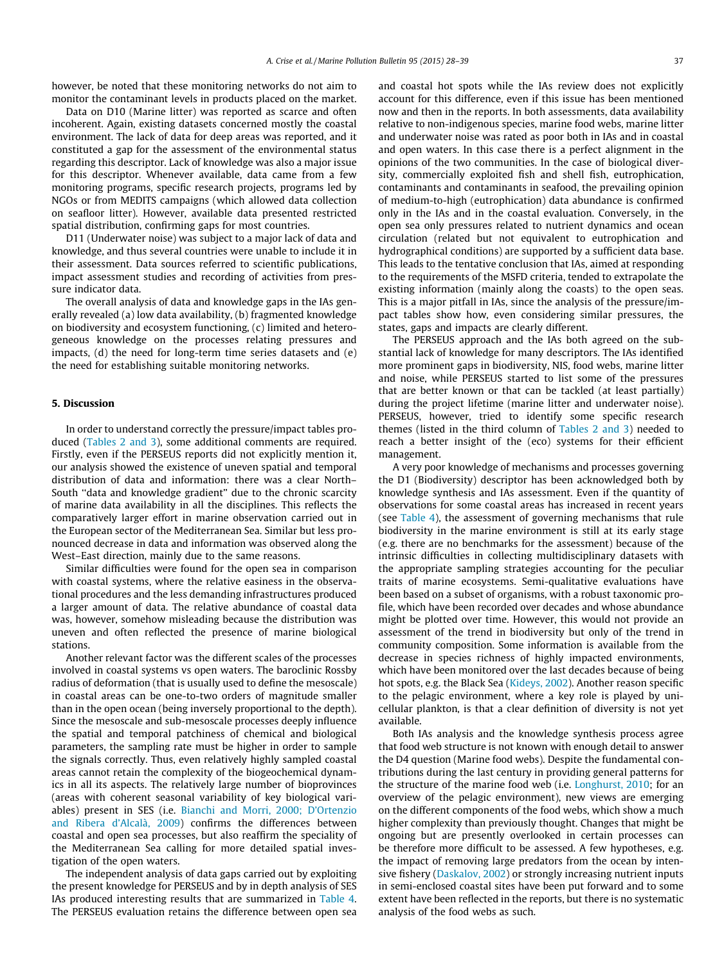<span id="page-9-0"></span>however, be noted that these monitoring networks do not aim to monitor the contaminant levels in products placed on the market.

Data on D10 (Marine litter) was reported as scarce and often incoherent. Again, existing datasets concerned mostly the coastal environment. The lack of data for deep areas was reported, and it constituted a gap for the assessment of the environmental status regarding this descriptor. Lack of knowledge was also a major issue for this descriptor. Whenever available, data came from a few monitoring programs, specific research projects, programs led by NGOs or from MEDITS campaigns (which allowed data collection on seafloor litter). However, available data presented restricted spatial distribution, confirming gaps for most countries.

D11 (Underwater noise) was subject to a major lack of data and knowledge, and thus several countries were unable to include it in their assessment. Data sources referred to scientific publications, impact assessment studies and recording of activities from pressure indicator data.

The overall analysis of data and knowledge gaps in the IAs generally revealed (a) low data availability, (b) fragmented knowledge on biodiversity and ecosystem functioning, (c) limited and heterogeneous knowledge on the processes relating pressures and impacts, (d) the need for long-term time series datasets and (e) the need for establishing suitable monitoring networks.

#### 5. Discussion

In order to understand correctly the pressure/impact tables produced ([Tables 2 and 3\)](#page-4-0), some additional comments are required. Firstly, even if the PERSEUS reports did not explicitly mention it, our analysis showed the existence of uneven spatial and temporal distribution of data and information: there was a clear North– South ''data and knowledge gradient'' due to the chronic scarcity of marine data availability in all the disciplines. This reflects the comparatively larger effort in marine observation carried out in the European sector of the Mediterranean Sea. Similar but less pronounced decrease in data and information was observed along the West–East direction, mainly due to the same reasons.

Similar difficulties were found for the open sea in comparison with coastal systems, where the relative easiness in the observational procedures and the less demanding infrastructures produced a larger amount of data. The relative abundance of coastal data was, however, somehow misleading because the distribution was uneven and often reflected the presence of marine biological stations.

Another relevant factor was the different scales of the processes involved in coastal systems vs open waters. The baroclinic Rossby radius of deformation (that is usually used to define the mesoscale) in coastal areas can be one-to-two orders of magnitude smaller than in the open ocean (being inversely proportional to the depth). Since the mesoscale and sub-mesoscale processes deeply influence the spatial and temporal patchiness of chemical and biological parameters, the sampling rate must be higher in order to sample the signals correctly. Thus, even relatively highly sampled coastal areas cannot retain the complexity of the biogeochemical dynamics in all its aspects. The relatively large number of bioprovinces (areas with coherent seasonal variability of key biological variables) present in SES (i.e. [Bianchi and Morri, 2000; D'Ortenzio](#page-11-0) [and Ribera d'Alcalà, 2009](#page-11-0)) confirms the differences between coastal and open sea processes, but also reaffirm the speciality of the Mediterranean Sea calling for more detailed spatial investigation of the open waters.

The independent analysis of data gaps carried out by exploiting the present knowledge for PERSEUS and by in depth analysis of SES IAs produced interesting results that are summarized in [Table 4.](#page-7-0) The PERSEUS evaluation retains the difference between open sea and coastal hot spots while the IAs review does not explicitly account for this difference, even if this issue has been mentioned now and then in the reports. In both assessments, data availability relative to non-indigenous species, marine food webs, marine litter and underwater noise was rated as poor both in IAs and in coastal and open waters. In this case there is a perfect alignment in the opinions of the two communities. In the case of biological diversity, commercially exploited fish and shell fish, eutrophication, contaminants and contaminants in seafood, the prevailing opinion of medium-to-high (eutrophication) data abundance is confirmed only in the IAs and in the coastal evaluation. Conversely, in the open sea only pressures related to nutrient dynamics and ocean circulation (related but not equivalent to eutrophication and hydrographical conditions) are supported by a sufficient data base. This leads to the tentative conclusion that IAs, aimed at responding to the requirements of the MSFD criteria, tended to extrapolate the existing information (mainly along the coasts) to the open seas. This is a major pitfall in IAs, since the analysis of the pressure/impact tables show how, even considering similar pressures, the states, gaps and impacts are clearly different.

The PERSEUS approach and the IAs both agreed on the substantial lack of knowledge for many descriptors. The IAs identified more prominent gaps in biodiversity, NIS, food webs, marine litter and noise, while PERSEUS started to list some of the pressures that are better known or that can be tackled (at least partially) during the project lifetime (marine litter and underwater noise). PERSEUS, however, tried to identify some specific research themes (listed in the third column of [Tables 2 and 3\)](#page-4-0) needed to reach a better insight of the (eco) systems for their efficient management.

A very poor knowledge of mechanisms and processes governing the D1 (Biodiversity) descriptor has been acknowledged both by knowledge synthesis and IAs assessment. Even if the quantity of observations for some coastal areas has increased in recent years (see [Table 4](#page-7-0)), the assessment of governing mechanisms that rule biodiversity in the marine environment is still at its early stage (e.g. there are no benchmarks for the assessment) because of the intrinsic difficulties in collecting multidisciplinary datasets with the appropriate sampling strategies accounting for the peculiar traits of marine ecosystems. Semi-qualitative evaluations have been based on a subset of organisms, with a robust taxonomic profile, which have been recorded over decades and whose abundance might be plotted over time. However, this would not provide an assessment of the trend in biodiversity but only of the trend in community composition. Some information is available from the decrease in species richness of highly impacted environments, which have been monitored over the last decades because of being hot spots, e.g. the Black Sea ([Kideys, 2002](#page-11-0)). Another reason specific to the pelagic environment, where a key role is played by unicellular plankton, is that a clear definition of diversity is not yet available.

Both IAs analysis and the knowledge synthesis process agree that food web structure is not known with enough detail to answer the D4 question (Marine food webs). Despite the fundamental contributions during the last century in providing general patterns for the structure of the marine food web (i.e. [Longhurst, 2010](#page-11-0); for an overview of the pelagic environment), new views are emerging on the different components of the food webs, which show a much higher complexity than previously thought. Changes that might be ongoing but are presently overlooked in certain processes can be therefore more difficult to be assessed. A few hypotheses, e.g. the impact of removing large predators from the ocean by inten-sive fishery [\(Daskalov, 2002](#page-11-0)) or strongly increasing nutrient inputs in semi-enclosed coastal sites have been put forward and to some extent have been reflected in the reports, but there is no systematic analysis of the food webs as such.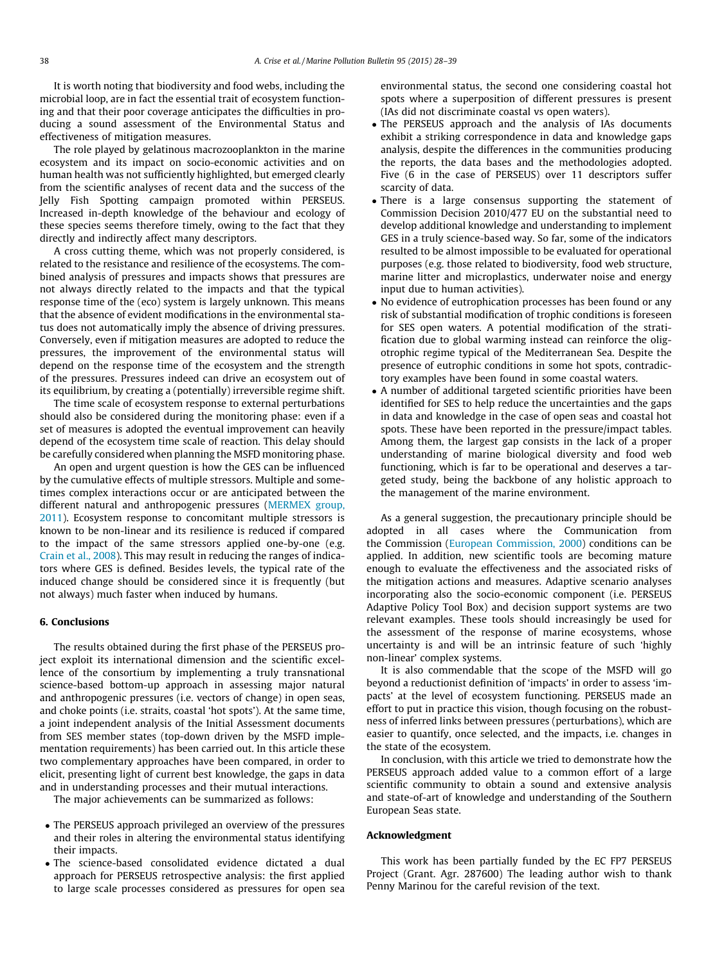It is worth noting that biodiversity and food webs, including the microbial loop, are in fact the essential trait of ecosystem functioning and that their poor coverage anticipates the difficulties in producing a sound assessment of the Environmental Status and effectiveness of mitigation measures.

The role played by gelatinous macrozooplankton in the marine ecosystem and its impact on socio-economic activities and on human health was not sufficiently highlighted, but emerged clearly from the scientific analyses of recent data and the success of the Jelly Fish Spotting campaign promoted within PERSEUS. Increased in-depth knowledge of the behaviour and ecology of these species seems therefore timely, owing to the fact that they directly and indirectly affect many descriptors.

A cross cutting theme, which was not properly considered, is related to the resistance and resilience of the ecosystems. The combined analysis of pressures and impacts shows that pressures are not always directly related to the impacts and that the typical response time of the (eco) system is largely unknown. This means that the absence of evident modifications in the environmental status does not automatically imply the absence of driving pressures. Conversely, even if mitigation measures are adopted to reduce the pressures, the improvement of the environmental status will depend on the response time of the ecosystem and the strength of the pressures. Pressures indeed can drive an ecosystem out of its equilibrium, by creating a (potentially) irreversible regime shift.

The time scale of ecosystem response to external perturbations should also be considered during the monitoring phase: even if a set of measures is adopted the eventual improvement can heavily depend of the ecosystem time scale of reaction. This delay should be carefully considered when planning the MSFD monitoring phase.

An open and urgent question is how the GES can be influenced by the cumulative effects of multiple stressors. Multiple and sometimes complex interactions occur or are anticipated between the different natural and anthropogenic pressures ([MERMEX group,](#page-11-0) [2011\)](#page-11-0). Ecosystem response to concomitant multiple stressors is known to be non-linear and its resilience is reduced if compared to the impact of the same stressors applied one-by-one (e.g. [Crain et al., 2008\)](#page-11-0). This may result in reducing the ranges of indicators where GES is defined. Besides levels, the typical rate of the induced change should be considered since it is frequently (but not always) much faster when induced by humans.

#### 6. Conclusions

The results obtained during the first phase of the PERSEUS project exploit its international dimension and the scientific excellence of the consortium by implementing a truly transnational science-based bottom-up approach in assessing major natural and anthropogenic pressures (i.e. vectors of change) in open seas, and choke points (i.e. straits, coastal 'hot spots'). At the same time, a joint independent analysis of the Initial Assessment documents from SES member states (top-down driven by the MSFD implementation requirements) has been carried out. In this article these two complementary approaches have been compared, in order to elicit, presenting light of current best knowledge, the gaps in data and in understanding processes and their mutual interactions.

The major achievements can be summarized as follows:

- The PERSEUS approach privileged an overview of the pressures and their roles in altering the environmental status identifying their impacts.
- The science-based consolidated evidence dictated a dual approach for PERSEUS retrospective analysis: the first applied to large scale processes considered as pressures for open sea

environmental status, the second one considering coastal hot spots where a superposition of different pressures is present (IAs did not discriminate coastal vs open waters).

- The PERSEUS approach and the analysis of IAs documents exhibit a striking correspondence in data and knowledge gaps analysis, despite the differences in the communities producing the reports, the data bases and the methodologies adopted. Five (6 in the case of PERSEUS) over 11 descriptors suffer scarcity of data.
- There is a large consensus supporting the statement of Commission Decision 2010/477 EU on the substantial need to develop additional knowledge and understanding to implement GES in a truly science-based way. So far, some of the indicators resulted to be almost impossible to be evaluated for operational purposes (e.g. those related to biodiversity, food web structure, marine litter and microplastics, underwater noise and energy input due to human activities).
- No evidence of eutrophication processes has been found or any risk of substantial modification of trophic conditions is foreseen for SES open waters. A potential modification of the stratification due to global warming instead can reinforce the oligotrophic regime typical of the Mediterranean Sea. Despite the presence of eutrophic conditions in some hot spots, contradictory examples have been found in some coastal waters.
- A number of additional targeted scientific priorities have been identified for SES to help reduce the uncertainties and the gaps in data and knowledge in the case of open seas and coastal hot spots. These have been reported in the pressure/impact tables. Among them, the largest gap consists in the lack of a proper understanding of marine biological diversity and food web functioning, which is far to be operational and deserves a targeted study, being the backbone of any holistic approach to the management of the marine environment.

As a general suggestion, the precautionary principle should be adopted in all cases where the Communication from the Commission ([European Commission, 2000\)](#page-11-0) conditions can be applied. In addition, new scientific tools are becoming mature enough to evaluate the effectiveness and the associated risks of the mitigation actions and measures. Adaptive scenario analyses incorporating also the socio-economic component (i.e. PERSEUS Adaptive Policy Tool Box) and decision support systems are two relevant examples. These tools should increasingly be used for the assessment of the response of marine ecosystems, whose uncertainty is and will be an intrinsic feature of such 'highly non-linear' complex systems.

It is also commendable that the scope of the MSFD will go beyond a reductionist definition of 'impacts' in order to assess 'impacts' at the level of ecosystem functioning. PERSEUS made an effort to put in practice this vision, though focusing on the robustness of inferred links between pressures (perturbations), which are easier to quantify, once selected, and the impacts, i.e. changes in the state of the ecosystem.

In conclusion, with this article we tried to demonstrate how the PERSEUS approach added value to a common effort of a large scientific community to obtain a sound and extensive analysis and state-of-art of knowledge and understanding of the Southern European Seas state.

#### Acknowledgment

This work has been partially funded by the EC FP7 PERSEUS Project (Grant. Agr. 287600) The leading author wish to thank Penny Marinou for the careful revision of the text.